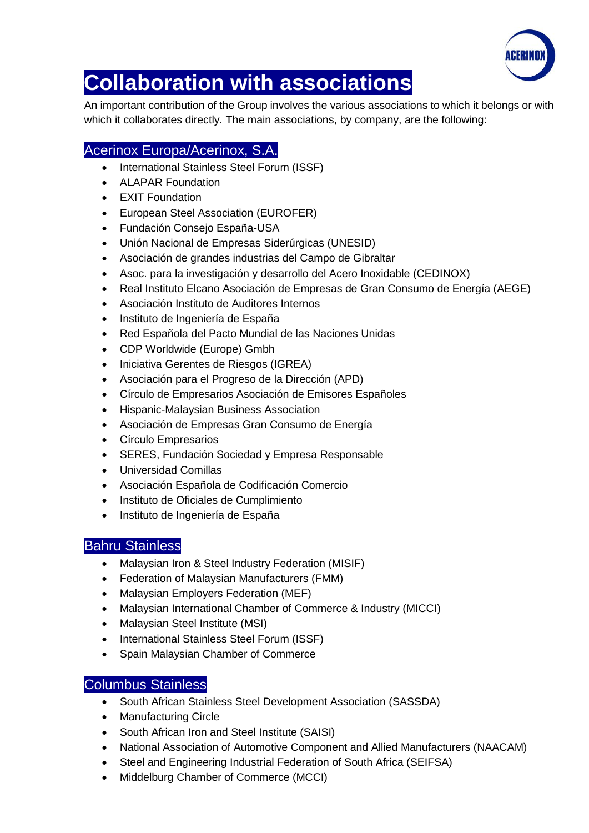

# **Collaboration with associations**

An important contribution of the Group involves the various associations to which it belongs or with which it collaborates directly. The main associations, by company, are the following:

## Acerinox Europa/Acerinox, S.A.

- International Stainless Steel Forum (ISSF)
- ALAPAR Foundation
- **EXIT Foundation**
- European Steel Association (EUROFER)
- Fundación Consejo España-USA
- Unión Nacional de Empresas Siderúrgicas (UNESID)
- Asociación de grandes industrias del Campo de Gibraltar
- Asoc. para la investigación y desarrollo del Acero Inoxidable (CEDINOX)
- Real Instituto Elcano Asociación de Empresas de Gran Consumo de Energía (AEGE)
- Asociación Instituto de Auditores Internos
- $\bullet$  Instituto de Ingeniería de España
- Red Española del Pacto Mundial de las Naciones Unidas
- CDP Worldwide (Europe) Gmbh
- Iniciativa Gerentes de Riesgos (IGREA)
- Asociación para el Progreso de la Dirección (APD)
- Círculo de Empresarios Asociación de Emisores Españoles
- Hispanic-Malaysian Business Association
- Asociación de Empresas Gran Consumo de Energía
- Círculo Empresarios
- SERES, Fundación Sociedad y Empresa Responsable
- Universidad Comillas
- Asociación Española de Codificación Comercio
- Instituto de Oficiales de Cumplimiento
- $\bullet$  Instituto de Ingeniería de España

### Bahru Stainless

- Malaysian Iron & Steel Industry Federation (MISIF)
- Federation of Malaysian Manufacturers (FMM)
- Malaysian Employers Federation (MEF)
- Malaysian International Chamber of Commerce & Industry (MICCI)
- Malaysian Steel Institute (MSI)
- International Stainless Steel Forum (ISSF)
- Spain Malaysian Chamber of Commerce

### Columbus Stainless

- South African Stainless Steel Development Association (SASSDA)
- Manufacturing Circle
- South African Iron and Steel Institute (SAISI)
- National Association of Automotive Component and Allied Manufacturers (NAACAM)
- Steel and Engineering Industrial Federation of South Africa (SEIFSA)
- Middelburg Chamber of Commerce (MCCI)